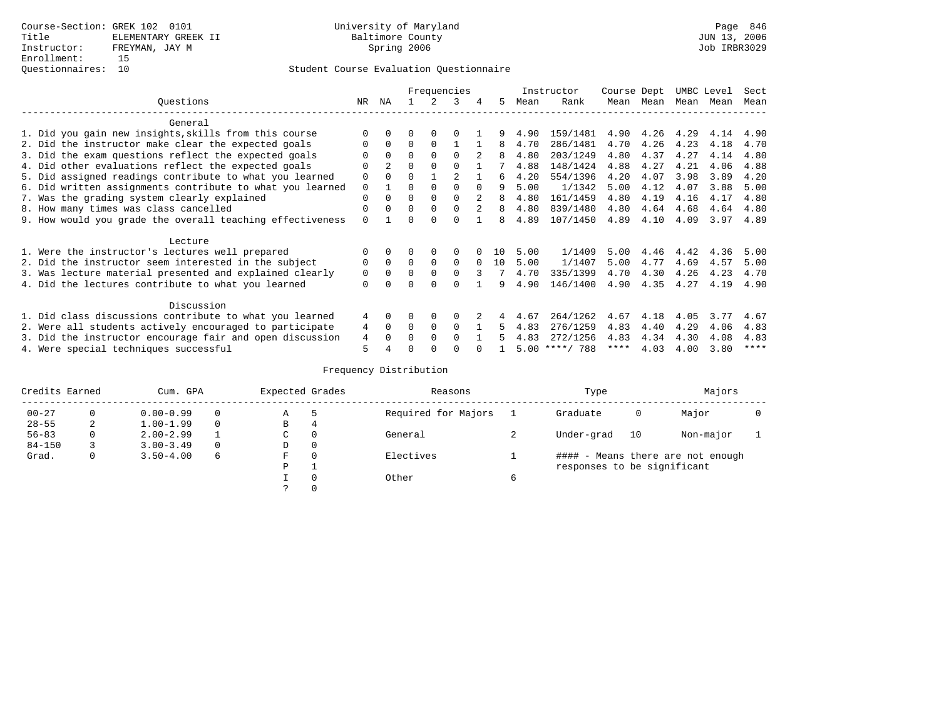### Student Course Evaluation Questionnaire

|                                                           |             | Frequencies    |              |          |          |              |     |      | Instructor       | Course Dept |           | UMBC Level |      | Sect        |
|-----------------------------------------------------------|-------------|----------------|--------------|----------|----------|--------------|-----|------|------------------|-------------|-----------|------------|------|-------------|
| Questions                                                 | NR          | NA             |              |          | 3        |              | .5  | Mean | Rank             |             | Mean Mean | Mean       | Mean | Mean        |
| General                                                   |             |                |              |          |          |              |     |      |                  |             |           |            |      |             |
| 1. Did you gain new insights, skills from this course     | $\Omega$    |                |              |          |          |              |     | 4.90 | 159/1481         | 4.90        | 4.26 4.29 |            | 4.14 | 4.90        |
| 2. Did the instructor make clear the expected goals       | $\Omega$    | $\Omega$       | $\Omega$     | $\Omega$ |          |              | 8   | 4.70 | 286/1481         | 4.70        | 4.26      | 4.23       | 4.18 | 4.70        |
| 3. Did the exam questions reflect the expected goals      |             | $\Omega$       | $\Omega$     |          | $\Omega$ | $2^{1}$      | 8   | 4.80 | 203/1249         | 4.80        | 4.37      | 4.27       | 4.14 | 4.80        |
| 4. Did other evaluations reflect the expected goals       | $\Omega$    | $\overline{2}$ | $\Omega$     |          | $\Omega$ |              |     | 4.88 | 148/1424         | 4.88        | 4.27      | 4.21       | 4.06 | 4.88        |
| 5. Did assigned readings contribute to what you learned   | 0           |                | $\Omega$     |          |          |              | б.  | 4.20 | 554/1396         | 4.20        | 4.07      | 3.98       | 3.89 | 4.20        |
| 6. Did written assignments contribute to what you learned | 0           |                |              |          |          | <sup>0</sup> | 9   | 5.00 | 1/1342           | 5.00        | 4.12      | 4.07       | 3.88 | 5.00        |
| 7. Was the grading system clearly explained               | $\Omega$    | $\Omega$       | $\Omega$     |          | $\Omega$ | 2            | 8   | 4.80 | 161/1459         | 4.80        | 4.19      | 4.16       | 4.17 | 4.80        |
| 8. How many times was class cancelled                     | $\Omega$    |                | $\Omega$     |          | $\Omega$ | $2^{1}$      | 8   | 4.80 | 839/1480         | 4.80        | 4.64      | 4.68       | 4.64 | 4.80        |
| 9. How would you grade the overall teaching effectiveness | $\Omega$    |                | $\Omega$     |          |          |              | 8   | 4.89 | 107/1450         | 4.89        | 4.10      | 4.09       | 3.97 | 4.89        |
| Lecture                                                   |             |                |              |          |          |              |     |      |                  |             |           |            |      |             |
| 1. Were the instructor's lectures well prepared           |             |                |              | 0        | 0        |              | 1 N | 5.00 | 1/1409           | 5.00        | 4.46      | 4.42       | 4.36 | 5.00        |
| 2. Did the instructor seem interested in the subject      | $\Omega$    |                | $\Omega$     | $\Omega$ | $\Omega$ | $\Omega$     | 10  | 5.00 | 1/1407           | 5.00        | 4.77      | 4.69       | 4.57 | 5.00        |
| 3. Was lecture material presented and explained clearly   | $\mathbf 0$ |                | $\Omega$     | $\Omega$ | $\Omega$ | 3            |     | 4.70 | 335/1399         | 4.70        | 4.30      | 4.26       | 4.23 | 4.70        |
| 4. Did the lectures contribute to what you learned        | $\Omega$    |                | $\Omega$     | $\Omega$ |          |              | 9   | 4.90 | 146/1400         | 4.90        | 4.35      | 4.27       | 4.19 | 4.90        |
| Discussion                                                |             |                |              |          |          |              |     |      |                  |             |           |            |      |             |
| 1. Did class discussions contribute to what you learned   | 4           | $\Omega$       |              | 0        |          |              |     | 4.67 | 264/1262         | 4.67        | 4.18      | 4.05       | 3.77 | 4.67        |
| 2. Were all students actively encouraged to participate   | 4           | $\Omega$       | $\Omega$     | $\Omega$ | $\Omega$ |              | 5.  | 4.83 | 276/1259         | 4.83        | 4.40      | 4.29       | 4.06 | 4.83        |
| 3. Did the instructor encourage fair and open discussion  | 4           | <sup>n</sup>   | <sup>0</sup> | $\Omega$ | $\cap$   |              |     | 4.83 | 272/1256         | 4.83        | 4.34      | 4.30       | 4.08 | 4.83        |
| 4. Were special techniques successful                     | 5           |                | O            | $\Omega$ |          |              |     |      | $5.00$ ****/ 788 | ****        | 4.03      | 4.00       | 3.80 | $***$ * * * |

### Frequency Distribution

| Credits Earned |   | Cum. GPA      |   |   | Expected Grades | Reasons             |   | Type                        | Majors |                                   |  |
|----------------|---|---------------|---|---|-----------------|---------------------|---|-----------------------------|--------|-----------------------------------|--|
| $00 - 27$      | 0 | $0.00 - 0.99$ |   | Α |                 | Required for Majors |   | Graduate                    | 0      | Major                             |  |
| $28 - 55$      | 2 | $1.00 - 1.99$ | 0 | В | 4               |                     |   |                             |        |                                   |  |
| $56 - 83$      | 0 | $2.00 - 2.99$ |   | C | $\Omega$        | General             |   | Under-grad                  | 10     | Non-major                         |  |
| $84 - 150$     |   | $3.00 - 3.49$ |   | D | 0               |                     |   |                             |        |                                   |  |
| Grad.          |   | $3.50 - 4.00$ | 6 | F |                 | Electives           |   |                             |        | #### - Means there are not enough |  |
|                |   |               |   | P |                 |                     |   | responses to be significant |        |                                   |  |
|                |   |               |   |   | $\Omega$        | Other               | 6 |                             |        |                                   |  |
|                |   |               |   |   |                 |                     |   |                             |        |                                   |  |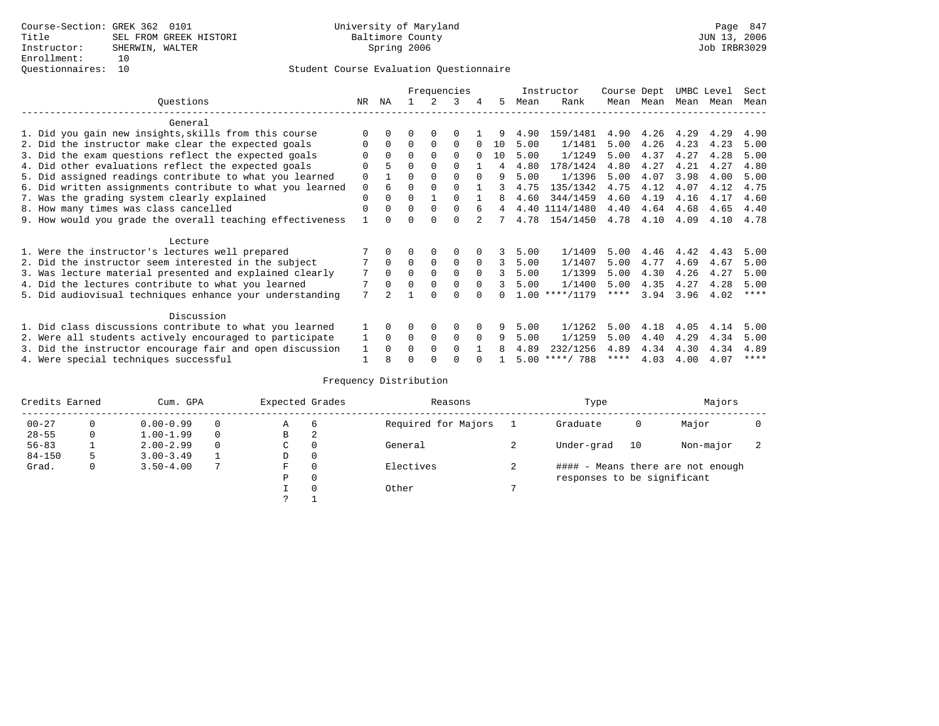## Questionnaires: 10 Student Course Evaluation Questionnaire

|                                                           |             | Frequencies  |          |             |             |          |                | Instructor | Course Dept      |             | UMBC Level |      | Sect |             |
|-----------------------------------------------------------|-------------|--------------|----------|-------------|-------------|----------|----------------|------------|------------------|-------------|------------|------|------|-------------|
| Ouestions                                                 | NR          | ΝA           |          |             | 3           | 4        | 5.             | Mean       | Rank             | Mean        | Mean       | Mean | Mean | Mean        |
| General                                                   |             |              |          |             |             |          |                |            |                  |             |            |      |      |             |
| 1. Did you gain new insights, skills from this course     |             | $\Omega$     | O        | $\Omega$    |             |          |                | 4.90       | 159/1481         | 4.90        | 4.26       | 4.29 | 4.29 | 4.90        |
| 2. Did the instructor make clear the expected goals       | O           | $\Omega$     | $\Omega$ | $\Omega$    | $\Omega$    |          | 10             | 5.00       | 1/1481           | 5.00        | 4.26       | 4.23 | 4.23 | 5.00        |
| 3. Did the exam questions reflect the expected goals      |             | $\Omega$     | 0        | $\Omega$    | $\Omega$    | $\Omega$ | 10             | 5.00       | 1/1249           | 5.00        | 4.37       | 4.27 | 4.28 | 5.00        |
| 4. Did other evaluations reflect the expected goals       | O           |              | $\Omega$ | $\Omega$    | $\Omega$    |          | 4              | 4.80       | 178/1424         | 4.80        | 4.27       | 4.21 | 4.27 | 4.80        |
| 5. Did assigned readings contribute to what you learned   | $\mathbf 0$ |              | 0        | $\Omega$    | $\Omega$    | $\Omega$ | 9              | 5.00       | 1/1396           | 5.00        | 4.07       | 3.98 | 4.00 | 5.00        |
| 6. Did written assignments contribute to what you learned | $\mathbf 0$ | 6            | $\Omega$ |             |             |          | 3              | 4.75       | 135/1342         | 4.75        | 4.12       | 4.07 | 4.12 | 4.75        |
| 7. Was the grading system clearly explained               | $\Omega$    |              | $\Omega$ |             | $\Omega$    |          |                | 4.60       | 344/1459         | 4.60        | 4.19       | 4.16 | 4.17 | 4.60        |
| 8. How many times was class cancelled                     | $\Omega$    | $\Omega$     | $\Omega$ | $\Omega$    | $\Omega$    | 6        | $\overline{4}$ |            | 4.40 1114/1480   | 4.40        | 4.64       | 4.68 | 4.65 | 4.40        |
| 9. How would you grade the overall teaching effectiveness |             | <sup>n</sup> | U        | ∩           | $\cap$      |          |                | 4.78       | 154/1450         | 4.78        | 4.10       | 4.09 | 4.10 | 4.78        |
| Lecture                                                   |             |              |          |             |             |          |                |            |                  |             |            |      |      |             |
| 1. Were the instructor's lectures well prepared           |             |              |          |             | $\Omega$    |          |                | 5.00       | 1/1409           | 5.00        | 4.46       | 4.42 | 4.43 | 5.00        |
| 2. Did the instructor seem interested in the subject      |             | $\Omega$     | $\Omega$ | $\mathbf 0$ | $\mathbf 0$ | $\Omega$ | 3              | 5.00       | 1/1407           | 5.00        | 4.77       | 4.69 | 4.67 | 5.00        |
| 3. Was lecture material presented and explained clearly   | 7           | $\Omega$     | $\Omega$ | $\Omega$    | $\Omega$    | $\Omega$ | 3              | 5.00       | 1/1399           | 5.00        | 4.30       | 4.26 | 4.27 | 5.00        |
| 4. Did the lectures contribute to what you learned        |             | $\Omega$     | $\Omega$ | $\Omega$    | $\Omega$    | $\Omega$ | 3              | 5.00       | 1/1400           | 5.00        | 4.35       | 4.27 | 4.28 | 5.00        |
| 5. Did audiovisual techniques enhance your understanding  | 7           |              |          |             |             |          |                |            | $1.00$ ****/1179 | $***$ * *   | 3.94       | 3.96 | 4.02 | $***$ *     |
|                                                           |             |              |          |             |             |          |                |            |                  |             |            |      |      |             |
| Discussion                                                |             |              |          |             |             |          |                |            |                  |             |            |      |      |             |
| 1. Did class discussions contribute to what you learned   |             | $\Omega$     | 0        | $\Omega$    | $\Omega$    |          |                | 5.00       | 1/1262           | 5.00        | 4.18       | 4.05 | 4.14 | 5.00        |
| 2. Were all students actively encouraged to participate   |             | $\Omega$     | $\Omega$ | $\mathbf 0$ | 0           | $\Omega$ | 9              | 5.00       | 1/1259           | 5.00        | 4.40       | 4.29 | 4.34 | 5.00        |
| 3. Did the instructor encourage fair and open discussion  | 1           | $\Omega$     | 0        | $\Omega$    | $\Omega$    |          |                | 4.89       | 232/1256         | 4.89        | 4.34       | 4.30 | 4.34 | 4.89        |
| 4. Were special techniques successful                     |             |              |          |             |             |          |                | 5.00       | ****/ 788        | $***$ * * * | 4.03       | 4.00 | 4.07 | $***$ * * * |

## Frequency Distribution

| Credits Earned        |   | Cum. GPA      |                     |             | Expected Grades | Reasons                           |  | Type                        | Majors |           |  |
|-----------------------|---|---------------|---------------------|-------------|-----------------|-----------------------------------|--|-----------------------------|--------|-----------|--|
| $00 - 27$<br>$\Omega$ |   | $0.00 - 0.99$ |                     | А           | 6               | Required for Majors               |  | Graduate                    | 0      | Major     |  |
| $28 - 55$             | 0 | $1.00 - 1.99$ |                     | В           | 2               |                                   |  |                             |        |           |  |
| $56 - 83$             |   | $2.00 - 2.99$ |                     | $\sim$<br>◡ | 0               | General                           |  | Under-grad                  | 10     | Non-major |  |
| $84 - 150$            | 5 | $3.00 - 3.49$ |                     | D           | 0               |                                   |  |                             |        |           |  |
| Grad.                 | 0 | $3.50 - 4.00$ | Electives<br>0<br>F |             |                 | #### - Means there are not enough |  |                             |        |           |  |
|                       |   |               |                     | Ρ           | 0               |                                   |  | responses to be significant |        |           |  |
|                       |   |               |                     |             | $\Omega$        | Other                             |  |                             |        |           |  |
|                       |   |               |                     | C           |                 |                                   |  |                             |        |           |  |